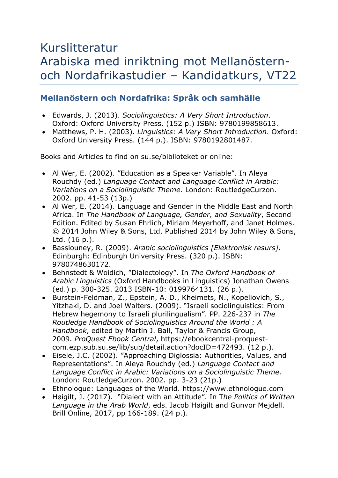# Kurslitteratur Arabiska med inriktning mot Mellanösternoch Nordafrikastudier – Kandidatkurs, VT22

## **Mellanöstern och Nordafrika: Språk och samhälle**

- Edwards, J. (2013). *Sociolinguistics: A Very Short Introduction*. Oxford: Oxford University Press. (152 p.) ISBN: 9780199858613.
- Matthews, P. H. (2003). *Linguistics: A Very Short Introduction*. Oxford: Oxford University Press. (144 p.). ISBN: 9780192801487.

Books and Articles to find on su.se/biblioteket or online:

- Al Wer, E. (2002). "Education as a Speaker Variable". In Aleya Rouchdy (ed.) *Language Contact and Language Conflict in Arabic: Variations on a Sociolinguistic Theme.* London: RoutledgeCurzon. 2002. pp. 41-53 (13p.)
- Al Wer, E. (2014). Language and Gender in the Middle East and North Africa. In *The Handbook of Language, Gender, and Sexuality*, Second Edition. Edited by Susan Ehrlich, Miriam Meyerhoff, and Janet Holmes. © 2014 John Wiley & Sons, Ltd. Published 2014 by John Wiley & Sons, Ltd. (16 p.).
- Bassiouney, R. (2009). *Arabic sociolinguistics [Elektronisk resurs]*. Edinburgh: Edinburgh University Press. (320 p.). ISBN: 9780748630172.
- Behnstedt & Woidich, "Dialectology". In *The Oxford Handbook of Arabic Linguistics* (Oxford Handbooks in Linguistics) Jonathan Owens (ed.) p. 300-325. 2013 ISBN-10: 0199764131. (26 p.).
- Burstein-Feldman, Z., Epstein, A. D., Kheimets, N., Kopeliovich, S., Yitzhaki, D. and Joel Walters. (2009). "Israeli sociolinguistics: From Hebrew hegemony to Israeli plurilingualism". PP. 226-237 in *The Routledge Handbook of Sociolinguistics Around the World : A Handbook*, edited by Martin J. Ball, Taylor & Francis Group, 2009. *ProQuest Ebook Central*, https://ebookcentral-proquestcom.ezp.sub.su.se/lib/sub/detail.action?docID=472493. (12 p.).
- Eisele, J.C. (2002). "Approaching Diglossia: Authorities, Values, and Representations". In Aleya Rouchdy (ed.) *Language Contact and Language Conflict in Arabic: Variations on a Sociolinguistic Theme.*  London: RoutledgeCurzon. 2002. pp. 3-23 (21p.)
- Ethnologue: Languages of the World. https://www.ethnologue.com
- Høigilt, J. (2017). "Dialect with an Attitude". In T*he Politics of Written Language in the Arab World*, eds. Jacob Høigilt and Gunvor Mejdell. Brill Online, 2017, pp 166-189. (24 p.).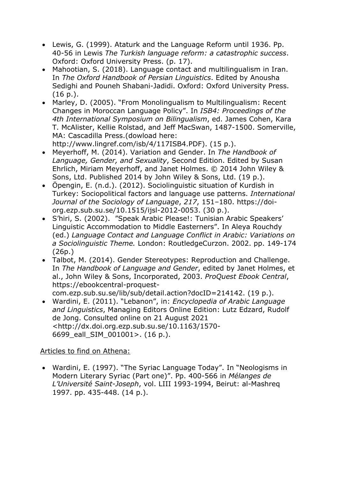- Lewis, G. (1999). Ataturk and the Language Reform until 1936. Pp. 40-56 in Lewis *The Turkish language reform: a catastrophic success*. Oxford: Oxford University Press. (p. 17).
- Mahootian, S. (2018). Language contact and multilingualism in Iran. In *The Oxford Handbook of Persian Linguistics*. Edited by Anousha Sedighi and Pouneh Shabani-Jadidi. Oxford: Oxford University Press. (16 p.).
- Marley, D. (2005). "From Monolingualism to Multilingualism: Recent Changes in Moroccan Language Policy". In *ISB4: Proceedings of the 4th International Symposium on Bilingualism*, ed. James Cohen, Kara T. McAlister, Kellie Rolstad, and Jeff MacSwan, 1487-1500. Somerville, MA: Cascadilla Press.(dowload here: http://www.lingref.com/isb/4/117ISB4.PDF). (15 p.).
- Meyerhoff, M. (2014). Variation and Gender. In *The Handbook of Language, Gender, and Sexuality*, Second Edition. Edited by Susan Ehrlich, Miriam Meyerhoff, and Janet Holmes. © 2014 John Wiley & Sons, Ltd. Published 2014 by John Wiley & Sons, Ltd. (19 p.).
- Öpengin, E. (n.d.). (2012). Sociolinguistic situation of Kurdish in Turkey: Sociopolitical factors and language use patterns. *International Journal of the Sociology of Language*, *217*, 151–180. https://doiorg.ezp.sub.su.se/10.1515/ijsl-2012-0053. (30 p.).
- S'hiri, S. (2002). "Speak Arabic Please!: Tunisian Arabic Speakers' Linguistic Accommodation to Middle Easterners". In Aleya Rouchdy (ed.) *Language Contact and Language Conflict in Arabic: Variations on a Sociolinguistic Theme.* London: RoutledgeCurzon. 2002. pp. 149-174 (26p.)
- Talbot, M. (2014). Gender Stereotypes: Reproduction and Challenge. In *The Handbook of Language and Gender*, edited by Janet Holmes, et al., John Wiley & Sons, Incorporated, 2003. *ProQuest Ebook Central*, https://ebookcentral-proquestcom.ezp.sub.su.se/lib/sub/detail.action?docID=214142. (19 p.).
- Wardini, E. (2011). "Lebanon", in: *Encyclopedia of Arabic Language and Linguistics*, Managing Editors Online Edition: Lutz Edzard, Rudolf de Jong. Consulted online on 21 August 2021 <http://dx.doi.org.ezp.sub.su.se/10.1163/1570- 6699\_eall\_SIM\_001001>. (16 p.).

#### Articles to find on Athena:

• Wardini, E. (1997). "The Syriac Language Today". In "Neologisms in Modern Literary Syriac (Part one)". Pp. 400-566 in *Mélanges de L'Université Saint-Joseph*, vol. LIII 1993-1994, Beirut: al-Mashreq 1997. pp. 435-448. (14 p.).